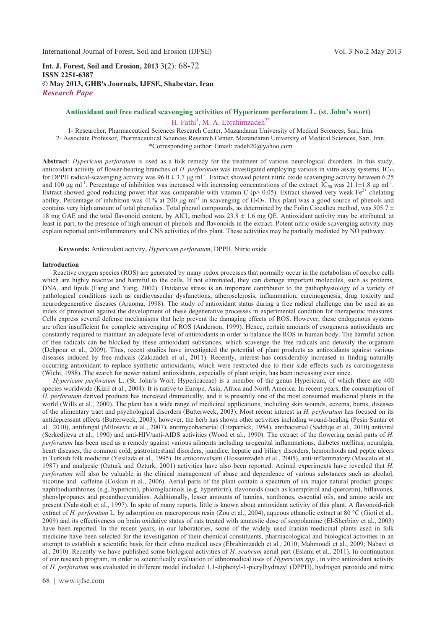**Int. J. Forest, Soil and Erosion, 2013** 3(2): 68-72 **ISSN 2251-6387 © May 2013, GHB's Journals, IJFSE, Shabestar, Iran** *Research Pape* 

# **Antioxidant and free radical scavenging activities of Hypericum perforatum L. (st. John's wort)** H. Fathi<sup>1</sup>, M. A. Ebrahimzadeh<sup>2\*</sup>

1- Researcher, Pharmaceutical Sciences Research Center, Mazandaran University of Medical Sciences, Sari, Iran. 2- Associate Professor, Pharmaceutical Sciences Research Center, Mazandaran University of Medical Sciences, Sari, Iran. \*Corresponding author: Email: zadeh20@yahoo.com

**Abstract**: *Hypericum perforatum* is used as a folk remedy for the treatment of various neurological disorders. In this study, antioxidant activity of flower-bearing branches of *H. perforatum* was investigated employing various in vitro assay systems. IC<sub>50</sub> for DPPH radical-scavenging activity was  $96.0 \pm 3.7$  µg ml<sup>-1</sup>. Extract showed potent nitric oxide scavenging activity between 6.25 and 100  $\mu$ g ml<sup>-1</sup>. Percentage of inhibition was increased with increasing concentrations of the extract. IC<sub>50</sub> was 21.1±1.8  $\mu$ g ml<sup>-1</sup>. Extract showed good reducing power that was comparable with vitamin C (p> 0.05). Extract showed very weak Fe<sup>2+</sup> chelating ability. Percentage of inhibition was 41% at 200  $\mu$ g ml<sup>-1</sup> in scavenging of H<sub>2</sub>O<sub>2</sub>. This plant was a good source of phenols and contains very high amount of total phenolics. Total phenol compounds, as determined by the Folin Ciocalteu method, was  $505.7 \pm$ 18 mg GAE and the total flavonoid content, by AlCl<sub>3</sub> method was  $23.8 \pm 1.6$  mg QE. Antioxidant activity may be attributed, at least in part, to the presence of high amount of phenols and flavonoids in the extract. Potent nitric oxide scavenging activity may explain reported anti-inflammatory and CNS activities of this plant. These activities may be partially mediated by NO pathway.

**Keywords:** Antioxidant activity, *Hypericum perforatum*, DPPH, Nitric oxide

# **Introduction**

Reactive oxygen species (ROS) are generated by many redox processes that normally occur in the metabolism of aerobic cells which are highly reactive and harmful to the cells. If not eliminated, they can damage important molecules, such as proteins, DNA, and lipids (Fang and Yang, 2002). Oxidative stress is an important contributor to the pathophysiology of a variety of pathological conditions such as cardiovascular dysfunctions, atherosclerosis, inflammation, carcinogenesis, drug toxicity and neurodegenerative diseases (Aruoma, 1998). The study of antioxidant status during a free radical challenge can be used as an index of protection against the development of these degenerative processes in experimental condition for therapeutic measures. Cells express several defense mechanisms that help prevent the damaging effects of ROS. However, these endogenous systems are often insufficient for complete scavenging of ROS (Anderson, 1999). Hence, certain amounts of exogenous antioxidants are constantly required to maintain an adequate level of antioxidants in order to balance the ROS in human body. The harmful action of free radicals can be blocked by these antioxidant substances, which scavenge the free radicals and detoxify the organism (Dehpour et al., 2009). Thus, recent studies have investigated the potential of plant products as antioxidants against various diseases induced by free radicals (Zakizadeh et al., 2011). Recently, interest has considerably increased in finding naturally occurring antioxidant to replace synthetic antioxidants, which were restricted due to their side effects such as carcinogenesis (Wichi, 1988). The search for newer natural antioxidants, especially of plant origin, has been increasing ever since.

*Hypericum perforatum* L. (St. John's Wort, Hypericaceae) is a member of the genus Hypericum, of which there are 400 species worldwide (Kizil et al., 2004). It is native to Europe, Asia, Africa and North America. In recent years, the consumption of *H. perforatum* derived products has increased dramatically, and it is presently one of the most consumed medicinal plants in the world (Wills et al., 2000). The plant has a wide range of medicinal applications, including skin wounds, eczema, burns, diseases of the alimentary tract and psychological disorders (Butterweck, 2003). Most recent interest in *H. perforatum* has focused on its antidepressant effects (Butterweck, 2003); however, the herb has shown other activities including wound-healing (Pesin Suntar et al., 2010), antifungal (Milosevic et al., 2007), antimycobacterial (Fitzpatrick, 1954), antibacterial (Saddiqe et al., 2010) antiviral (Serkedjieva et al., 1990) and anti-HIV/anti-AIDS activities (Wood et al., 1990). The extract of the flowering aerial parts of *H. perforatum* has been used as a remedy against various ailments including urogenital inflammations, diabetes mellitus, neuralgia, heart diseases, the common cold, gastrointestinal disorders, jaundice, hepatic and biliary disorders, hemorrhoids and peptic ulcers in Turkish folk medicine (Yesilada et al., 1995). Its anticonvulsant (Hosseinzadeh et al., 2005), anti-inflammatory (Mascalo et al., 1987) and analgesic (Ozturk and Ozturk, 2001) activities have also been reported. Animal experiments have revealed that *H. perforatum* will also be valuable in the clinical management of abuse and dependence of various substances such as alcohol, nicotine and caffeine (Coskun et al., 2006). Aerial parts of the plant contain a spectrum of six major natural product groups: naphthodianthrones (e.g. hypericin), phloroglucinols (e.g. hyperforin), flavonoids (such as kaempferol and quercetin), biflavones, phenylpropanes and proanthocyanidins. Additionally, lesser amounts of tannins, xanthones, essential oils, and amino acids are present (Nahrstedt et al., 1997). In spite of many reports, little is known about antioxidant activity of this plant. A flavonoid-rich extract of *H. perforatum* L. by adsorption on macroporous resin (Zou et al., 2004), aqueous ethanolic extract at 80 °C (Gioti et al., 2009) and its effectiveness on brain oxidative status of rats treated with amnestic dose of scopolamine (El-Sherbiny et al., 2003) have been reported. In the recent years, in our laboratories, some of the widely used Iranian medicinal plants used in folk medicine have been selected for the investigation of their chemical constituents, pharmacological and biological activities in an attempt to establish a scientific basis for their ethno medical uses (Ebrahimzadeh et al., 2010; Mahmoudi et al., 2009; Nabavi et al., 2010). Recently we have published some biological activities of *H. scabrum* aerial part (Eslami et al., 2011). In continuation of our research program, in order to scientifically evaluation of ethnomedical uses of *Hypericum spp.*, in vitro antioxidant activity of *H. perforatum* was evaluated in different model included 1,1-diphenyl-1-picrylhydrazyl (DPPH), hydrogen peroxide and nitric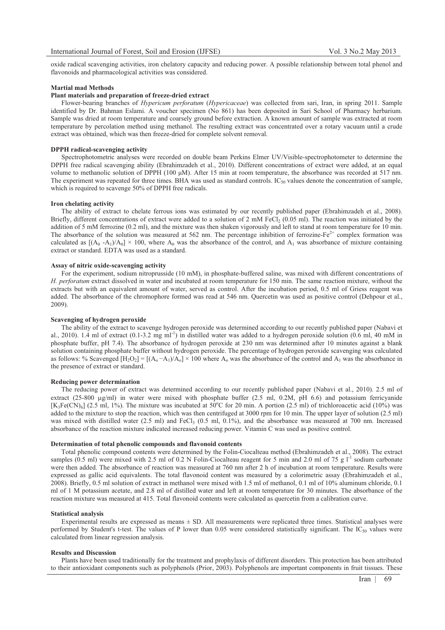oxide radical scavenging activities, iron chelatory capacity and reducing power. A possible relationship between total phenol and flavonoids and pharmacological activities was considered.

# **Martial mad Methods**

# **Plant materials and preparation of freeze-dried extract**

Flower-bearing branches of *Hypericum perforatum* (*Hypericaceae*) was collected from sari, Iran, in spring 2011. Sample identified by Dr. Bahman Eslami. A voucher specimen (No 861) has been deposited in Sari School of Pharmacy herbarium. Sample was dried at room temperature and coarsely ground before extraction. A known amount of sample was extracted at room temperature by percolation method using methanol. The resulting extract was concentrated over a rotary vacuum until a crude extract was obtained, which was then freeze-dried for complete solvent removal.

#### **DPPH radical-scavenging activity**

Spectrophotometric analyses were recorded on double beam Perkins Elmer UV/Visible*-*spectrophotometer to determine the DPPH free radical scavenging ability (Ebrahimzadeh et al., 2010). Different concentrations of extract were added, at an equal volume to methanolic solution of DPPH (100  $\mu$ M). After 15 min at room temperature, the absorbance was recorded at 517 nm. The experiment was repeated for three times. BHA was used as standard controls.  $IC_{50}$  values denote the concentration of sample, which is required to scavenge 50% of DPPH free radicals.

# **Iron chelating activity**

The ability of extract to chelate ferrous ions was estimated by our recently published paper (Ebrahimzadeh et al., 2008). Briefly, different concentrations of extract were added to a solution of 2 mM FeCl<sub>2</sub> (0.05 ml). The reaction was initiated by the addition of 5 mM ferrozine (0.2 ml), and the mixture was then shaken vigorously and left to stand at room temperature for 10 min. The absorbance of the solution was measured at 562 nm. The percentage inhibition of ferrozine-Fe<sup>2+</sup> complex formation was calculated as  $[(A_0 - A_1)/A_0] \times 100$ , where  $A_0$  was the absorbance of the control, and  $A_1$  was absorbance of mixture containing extract or standard. EDTA was used as a standard.

## **Assay of nitric oxide-scavenging activity**

For the experiment, sodium nitroprusside (10 mM), in phosphate-buffered saline, was mixed with different concentrations of *H. perforatum* extract dissolved in water and incubated at room temperature for 150 min. The same reaction mixture, without the extracts but with an equivalent amount of water, served as control. After the incubation period, 0.5 ml of Griess reagent was added. The absorbance of the chromophore formed was read at 546 nm. Quercetin was used as positive control (Dehpour et al., 2009).

# **Scavenging of hydrogen peroxide**

The ability of the extract to scavenge hydrogen peroxide was determined according to our recently published paper (Nabavi et al., 2010). 1.4 ml of extract  $(0.1-3.2 \text{ mg ml}^{-1})$  in distilled water was added to a hydrogen peroxide solution  $(0.6 \text{ ml}, 40 \text{ mM in})$ phosphate buffer, pH 7.4). The absorbance of hydrogen peroxide at 230 nm was determined after 10 minutes against a blank solution containing phosphate buffer without hydrogen peroxide. The percentage of hydrogen peroxide scavenging was calculated as follows: % Scavenged  $[H_2O_2] = [(A_0 - A_1)/A_0] \times 100$  where  $A_0$  was the absorbance of the control and  $A_1$  was the absorbance in the presence of extract or standard.

## **Reducing power determination**

The reducing power of extract was determined according to our recently published paper (Nabavi et al., 2010). 2.5 ml of extract (25-800 µg/ml) in water were mixed with phosphate buffer (2.5 ml, 0.2M, pH 6.6) and potassium ferricyanide  $[K_3Fe(CN)_6]$  (2.5 ml, 1%). The mixture was incubated at 50°C for 20 min. A portion (2.5 ml) of trichloroacetic acid (10%) was added to the mixture to stop the reaction, which was then centrifuged at 3000 rpm for 10 min. The upper layer of solution (2.5 ml) was mixed with distilled water (2.5 ml) and FeCl<sub>3</sub> (0.5 ml, 0.1%), and the absorbance was measured at 700 nm. Increased absorbance of the reaction mixture indicated increased reducing power. Vitamin C was used as positive control.

#### **Determination of total phenolic compounds and flavonoid contents**

Total phenolic compound contents were determined by the Folin-Ciocalteau method (Ebrahimzadeh et al., 2008). The extract samples (0.5 ml) were mixed with 2.5 ml of 0.2 N Folin-Ciocalteau reagent for 5 min and 2.0 ml of 75 g  $1<sup>-1</sup>$  sodium carbonate were then added. The absorbance of reaction was measured at 760 nm after 2 h of incubation at room temperature. Results were expressed as gallic acid equivalents. The total flavonoid content was measured by a colorimetric assay (Ebrahimzadeh et al., 2008). Briefly, 0.5 ml solution of extract in methanol were mixed with 1.5 ml of methanol, 0.1 ml of 10% aluminum chloride, 0.1 ml of 1 M potassium acetate, and 2.8 ml of distilled water and left at room temperature for 30 minutes. The absorbance of the reaction mixture was measured at 415. Total flavonoid contents were calculated as quercetin from a calibration curve.

### **Statistical analysis**

Experimental results are expressed as means ± SD. All measurements were replicated three times. Statistical analyses were performed by Student's t-test. The values of P lower than 0.05 were considered statistically significant. The  $IC_{50}$  values were calculated from linear regression analysis.

# **Results and Discussion**

Plants have been used traditionally for the treatment and prophylaxis of different disorders. This protection has been attributed to their antioxidant components such as polyphenols (Prior, 2003). Polyphenols are important components in fruit tissues. These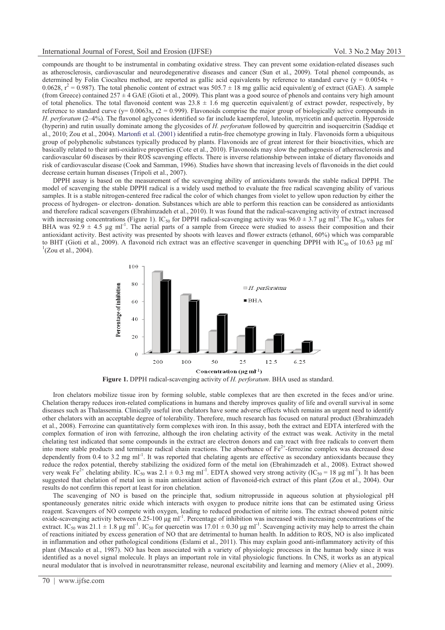compounds are thought to be instrumental in combating oxidative stress. They can prevent some oxidation-related diseases such as atherosclerosis, cardiovascular and neurodegenerative diseases and cancer (Sun et al., 2009). Total phenol compounds, as determined by Folin Ciocalteu method, are reported as gallic acid equivalents by reference to standard curve (y =  $0.0054x +$ 0.0628,  $r^2$  = 0.987). The total phenolic content of extract was 505.7  $\pm$  18 mg gallic acid equivalent/g of extract (GAE). A sample (from Greece) contained  $257 \pm 4$  GAE (Gioti et al., 2009). This plant was a good source of phenols and contains very high amount of total phenolics. The total flavonoid content was  $23.8 \pm 1.6$  mg quercetin equivalent/g of extract powder, respectively, by reference to standard curve ( $y= 0.0063x$ ,  $r2 = 0.999$ ). Flavonoids comprise the major group of biologically active compounds in *H. perforatum* (2–4%). The flavonol aglycones identified so far include kaempferol, luteolin, myricetin and quercetin. Hyperoside (hyperin) and rutin usually dominate among the glycosides of *H. perforatum* followed by quercitrin and isoquercitrin (Saddiqe et al., 2010; Zou et al., 2004). Martonfi et al. (2001) identified a rutin-free chemotype growing in Italy. Flavonoids form a ubiquitous group of polyphenolic substances typically produced by plants. Flavonoids are of great interest for their bioactivities, which are basically related to their anti-oxidative properties (Cote et al., 2010). Flavonoids may slow the pathogenesis of atherosclerosis and cardiovascular 60 diseases by their ROS scavenging effects. There is inverse relationship between intake of dietary flavonoids and risk of cardiovascular disease (Cook and Samman, 1996). Studies have shown that increasing levels of flavonoids in the diet could decrease certain human diseases (Tripoli et al., 2007).

DPPH assay is based on the measurement of the scavenging ability of antioxidants towards the stable radical DPPH. The model of scavenging the stable DPPH radical is a widely used method to evaluate the free radical scavenging ability of various samples. It is a stable nitrogen-centered free radical the color of which changes from violet to yellow upon reduction by either the process of hydrogen- or electron- donation. Substances which are able to perform this reaction can be considered as antioxidants and therefore radical scavengers (Ebrahimzadeh et al., 2010). It was found that the radical-scavenging activity of extract increased with increasing concentrations (Figure 1). IC<sub>50</sub> for DPPH radical-scavenging activity was  $96.0 \pm 3.7 \,\mu g \,\text{m}$ <sup>1</sup>. The IC<sub>50</sub> values for BHA was  $92.9 \pm 4.5$  µg ml<sup>-1</sup>. The aerial parts of a sample from Greece were studied to assess their composition and their antioxidant activity. Best activity was presented by shoots with leaves and flower extracts (ethanol, 60%) which was comparable to BHT (Gioti et al., 2009). A flavonoid rich extract was an effective scavenger in quenching DPPH with  $IC_{50}$  of 10.63  $\mu$ g ml  $^{1}$ (Zou et al., 2004).



**Figure 1.** DPPH radical-scavenging activity of *H. perforatum*. BHA used as standard.

Iron chelators mobilize tissue iron by forming soluble, stable complexes that are then excreted in the feces and/or urine. Chelation therapy reduces iron-related complications in humans and thereby improves quality of life and overall survival in some diseases such as Thalassemia. Clinically useful iron chelators have some adverse effects which remains an urgent need to identify other chelators with an acceptable degree of tolerability. Therefore, much research has focused on natural product (Ebrahimzadeh et al., 2008). Ferrozine can quantitatively form complexes with iron. In this assay, both the extract and EDTA interfered with the complex formation of iron with ferrozine, although the iron chelating activity of the extract was weak. Activity in the metal chelating test indicated that some compounds in the extract are electron donors and can react with free radicals to convert them into more stable products and terminate radical chain reactions. The absorbance of  $Fe^{2+}$ -ferrozine complex was decreased dose dependently from 0.4 to 3.2 mg ml<sup>-1</sup>. It was reported that chelating agents are effective as secondary antioxidants because they reduce the redox potential, thereby stabilizing the oxidized form of the metal ion (Ebrahimzadeh et al., 2008). Extract showed very weak Fe<sup>2+</sup> chelating ability. IC<sub>50</sub> was  $2.1 \pm 0.3$  mg ml<sup>-1</sup>. EDTA showed very strong activity (IC<sub>50</sub> = 18 µg ml<sup>-1</sup>). It has been suggested that chelation of metal ion is main antioxidant action of flavonoid-rich extract of this plant (Zou et al., 2004). Our results do not confirm this report at least for iron chelation.

The scavenging of NO is based on the principle that, sodium nitroprusside in aqueous solution at physiological pH spontaneously generates nitric oxide which interacts with oxygen to produce nitrite ions that can be estimated using Griess reagent. Scavengers of NO compete with oxygen, leading to reduced production of nitrite ions. The extract showed potent nitric oxide-scavenging activity between  $6.25$ -100  $\mu$ g ml<sup>-1</sup>. Percentage of inhibition was increased with increasing concentrations of the extract. IC<sub>50</sub> was 21.1  $\pm$  1.8 µg ml<sup>-1</sup>. IC<sub>50</sub> for quercetin was 17.01  $\pm$  0.30 µg ml<sup>-1</sup>. Scavenging activity may help to arrest the chain of reactions initiated by excess generation of NO that are detrimental to human health. In addition to ROS, NO is also implicated in inflammation and other pathological conditions (Eslami et al., 2011). This may explain good anti-inflammatory activity of this plant (Mascalo et al., 1987). NO has been associated with a variety of physiologic processes in the human body since it was identified as a novel signal molecule. It plays an important role in vital physiologic functions. In CNS, it works as an atypical neural modulator that is involved in neurotransmitter release, neuronal excitability and learning and memory (Aliev et al., 2009).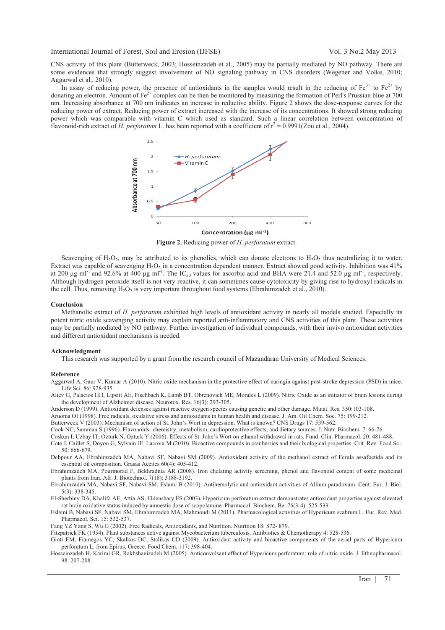CNS activity of this plant (Butterweck, 2003; Hosseinzadeh et al., 2005) may be partially mediated by NO pathway. There are some evidences that strongly suggest involvement of NO signaling pathway in CNS disorders (Wegener and Volke, 2010; Aggarwal et al., 2010).

In assay of reducing power, the presence of antioxidants in the samples would result in the reducing of  $Fe^{3+}$  to  $Fe^{2+}$  by donating an electron. Amount of  $Fe^{2+}$  complex can be then be monitored by measuring the formation of Perl's Prussian blue at 700 nm. Increasing absorbance at 700 nm indicates an increase in reductive ability. Figure 2 shows the dose-response curves for the reducing power of extract. Reducing power of extract increased with the increase of its concentrations. It showed strong reducing power which was comparable with vitamin C which used as standard. Such a linear correlation between concentration of flavonoid-rich extract of *H. perforatum* L. has been reported with a coefficient of  $r^2 = 0.9991$  (Zou et al., 2004).



**Figure 2.** Reducing power of *H. perforatum* extract.

Scavenging of  $H_2O_2$ , may be attributed to its phenolics, which can donate electrons to  $H_2O_2$  thus neutralizing it to water. Extract was capable of scavenging  $H_2O_2$  in a concentration dependent manner. Extract showed good activity. Inhibition was 41% at 200  $\mu$ g ml<sup>-1</sup> and 92.6% at 400  $\mu$ g ml<sup>-1</sup>. The IC<sub>50</sub> values for ascorbic acid and BHA were 21.4 and 52.0  $\mu$ g ml<sup>-1</sup>, respectively. Although hydrogen peroxide itself is not very reactive, it can sometimes cause cytotoxicity by giving rise to hydroxyl radicals in the cell. Thus, removing  $H_2O_2$  is very important throughout food systems (Ebrahimzadeh et al., 2010).

#### **Conclusion**

Methanolic extract of *H. perforatum* exhibited high levels of antioxidant activity in nearly all models studied. Especially its potent nitric oxide scavenging activity may explain reported anti-inflammatory and CNS activities of this plant. These activities may be partially mediated by NO pathway. Further investigation of individual compounds, with their invivo antioxidant activities and different antioxidant mechanisms is needed.

#### **Acknowledgment**

This research was supported by a grant from the research council of Mazandaran University of Medical Sciences.

### **Reference**

Aggarwal A, Gaur V, Kumar A (2010). Nitric oxide mechanism in the protective effect of naringin against post-stroke depression (PSD) in mice. Life Sci. 86: 928-935.

Aliev G, Palacios HH, Lipsitt AE, Fischbach K, Lamb BT, Obrenovich ME, Morales L (2009). Nitric Oxide as an initiator of brain lesions during the development of Alzheimer disease. Neurotox. Res. 16(3): 293-305.

Anderson D (1999). Antioxidant defenses against reactive oxygen species causing genetic and other damage. Mutat. Res. 350:103-108.

Aruoma OI (1998). Free radicals, oxidative stress and antioxidants in human health and disease. J. Am. Oil Chem. Soc. 75: 199-212.

Butterweck V (2003). Mechanism of action of St. John's Wort in depression. What is known? CNS Drugs 17: 539-562.

Cook NC, Samman S (1996). Flavonoids- chemistry, metabolism, cardioprotective effects, and dietary sources. J. Nutr. Biochem. 7: 66-76.

Coskun I, Uzbay IT, Ozturk N, Ozturk Y (2006). Effects of St. John's Wort on ethanol withdrawal in rats. Fund. Clin. Pharmacol. 20: 481-488.

Cote J, Caillet S, Doyon G, Sylvain JF, Lacroix M (2010). Bioactive compounds in cranberries and their biological properties. Crit. Rev. Food Sci. 50: 666-679.

Dehpour AA, Ebrahimzadeh MA, Nabavi SF, Nabavi SM (2009). Antioxidant activity of the methanol extract of Ferula assafoetida and its essential oil composition. Grasas Aceites 60(4): 405-412.

Ebrahimzadeh MA, Pourmorad F, Bekhradnia AR (2008). Iron chelating activity screening, phenol and flavonoid content of some medicinal plants from Iran. Afr. J. Biotechnol. 7(18): 3188-3192.

Ebrahimzadeh MA, Nabavi SF, Nabavi SM, Eslami B (2010). Antihemolytic and antioxidant activities of Allium paradoxum. Cent. Eur. J. Biol. 5(3): 338-345.

El-Sherbiny DA, Khalifa AE, Attia AS, Eldenshary ES (2003). Hypericum perforatum extract demonstrates antioxidant properties against elevated rat brain oxidative status induced by amnestic dose of scopolamine. Pharmacol. Biochem. Be. 76(3-4): 525-533.

Eslami B, Nabavi SF, Nabavi SM, Ebrahimzadeh MA, Mahmoudi M (2011). Pharmacological activities of Hypericum scabrum L. Eur. Rev. Med. Pharmacol. Sci. 15: 532-537.

Fang YZ Yang S, Wu G (2002). Free Radicals, Antioxidants, and Nutrition. Nutrition 18: 872- 879.

Fitzpatrick FK (1954). Plant substances active against Mycobacterium tuberculosis. Antibiotics & Chemotherapy 4: 528-536.

Gioti EM, Fiamegos YC, Skalkos DC, Stalikas CD (2009). Antioxidant activity and bioactive components of the aerial parts of Hypericum perforatum L. from Epirus, Greece. Food Chem. 117: 398-404.

Hosseinzadeh H, Karimi GR, Rakhshanizadeh M (2005). Anticonvulsant effect of Hypericum perforatum: role of nitric oxide. J. Ethnopharmacol. 98: 207-208.